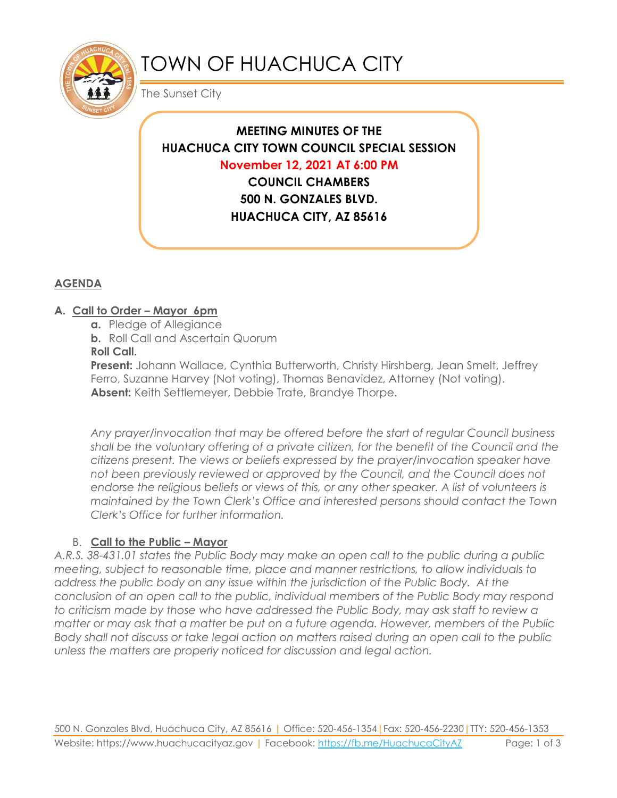

# TOWN OF HUACHUCA CITY

The Sunset City

# **MEETING MINUTES OF THE HUACHUCA CITY TOWN COUNCIL SPECIAL SESSION November 12, 2021 AT 6:00 PM COUNCIL CHAMBERS 500 N. GONZALES BLVD. HUACHUCA CITY, AZ 85616**

# **AGENDA**

### **A. Call to Order – Mayor 6pm**

**a.** Pledge of Allegiance **b.** Roll Call and Ascertain Quorum **Roll Call.**

**Present:** Johann Wallace, Cynthia Butterworth, Christy Hirshberg, Jean Smelt, Jeffrey Ferro, Suzanne Harvey (Not voting), Thomas Benavidez, Attorney (Not voting). **Absent:** Keith Settlemeyer, Debbie Trate, Brandye Thorpe.

*Any prayer/invocation that may be offered before the start of regular Council business shall be the voluntary offering of a private citizen, for the benefit of the Council and the citizens present. The views or beliefs expressed by the prayer/invocation speaker have not been previously reviewed or approved by the Council, and the Council does not endorse the religious beliefs or views of this, or any other speaker. A list of volunteers is maintained by the Town Clerk's Office and interested persons should contact the Town Clerk's Office for further information.*

## B. **Call to the Public – Mayor**

*A.R.S. 38-431.01 states the Public Body may make an open call to the public during a public meeting, subject to reasonable time, place and manner restrictions, to allow individuals to address the public body on any issue within the jurisdiction of the Public Body. At the conclusion of an open call to the public, individual members of the Public Body may respond to criticism made by those who have addressed the Public Body, may ask staff to review a matter or may ask that a matter be put on a future agenda. However, members of the Public Body shall not discuss or take legal action on matters raised during an open call to the public unless the matters are properly noticed for discussion and legal action.*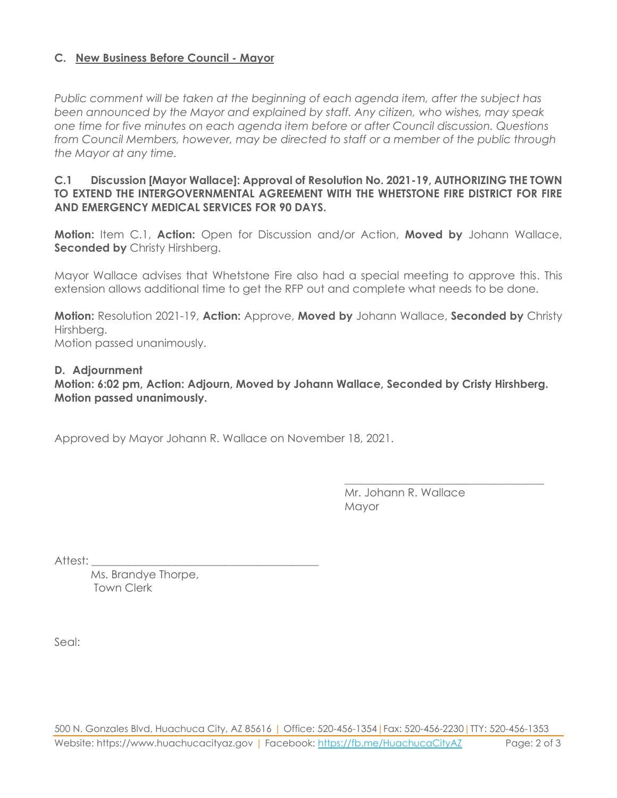#### **C. New Business Before Council - Mayor**

*Public comment will be taken at the beginning of each agenda item, after the subject has been announced by the Mayor and explained by staff. Any citizen, who wishes, may speak one time for five minutes on each agenda item before or after Council discussion. Questions from Council Members, however, may be directed to staff or a member of the public through the Mayor at any time.* 

#### **C.1 Discussion [Mayor Wallace]: Approval of Resolution No. 2021-19, AUTHORIZING THE TOWN TO EXTEND THE INTERGOVERNMENTAL AGREEMENT WITH THE WHETSTONE FIRE DISTRICT FOR FIRE AND EMERGENCY MEDICAL SERVICES FOR 90 DAYS.**

**Motion:** Item C.1, **Action:** Open for Discussion and/or Action, **Moved by** Johann Wallace, **Seconded by Christy Hirshberg.** 

Mayor Wallace advises that Whetstone Fire also had a special meeting to approve this. This extension allows additional time to get the RFP out and complete what needs to be done.

**Motion:** Resolution 2021-19, **Action:** Approve, **Moved by** Johann Wallace, **Seconded by** Christy Hirshberg. Motion passed unanimously.

**D. Adjournment**

#### **Motion: 6:02 pm, Action: Adjourn, Moved by Johann Wallace, Seconded by Cristy Hirshberg. Motion passed unanimously.**

Approved by Mayor Johann R. Wallace on November 18, 2021.

Mr. Johann R. Wallace Mayor

\_\_\_\_\_\_\_\_\_\_\_\_\_\_\_\_\_\_\_\_\_\_\_\_\_\_\_\_\_\_\_\_\_\_\_\_

Attest:

Ms. Brandye Thorpe, Town Clerk

Seal: